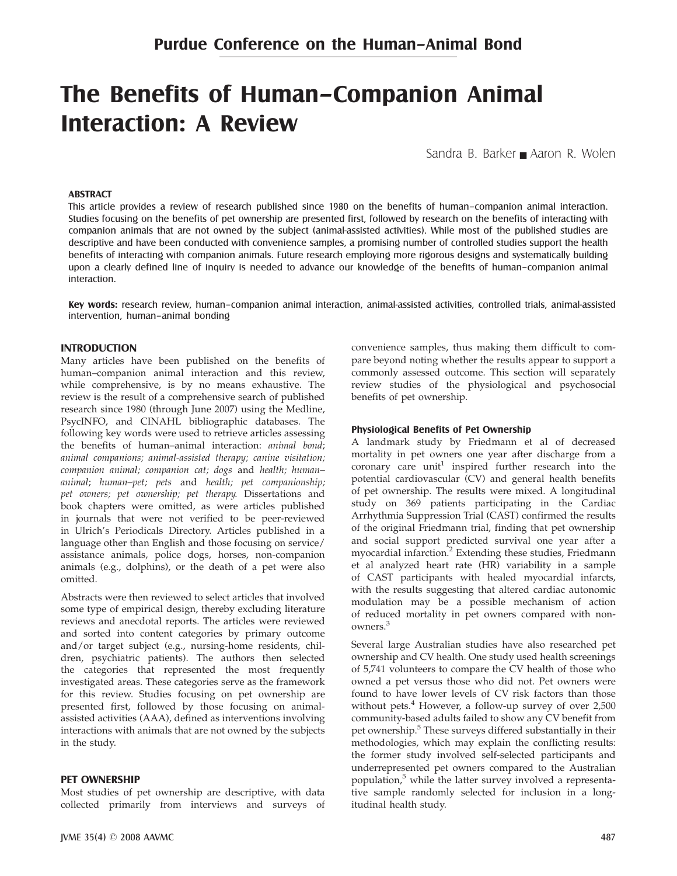# The Benefits of Human–Companion Animal Interaction: A Review

Sandra B. Barker *g* Aaron R. Wolen

#### **ABSTRACT**

This article provides a review of research published since 1980 on the benefits of human–companion animal interaction. Studies focusing on the benefits of pet ownership are presented first, followed by research on the benefits of interacting with companion animals that are not owned by the subject (animal-assisted activities). While most of the published studies are descriptive and have been conducted with convenience samples, a promising number of controlled studies support the health benefits of interacting with companion animals. Future research employing more rigorous designs and systematically building upon a clearly defined line of inquiry is needed to advance our knowledge of the benefits of human–companion animal interaction.

Key words: research review, human–companion animal interaction, animal-assisted activities, controlled trials, animal-assisted intervention, human–animal bonding

#### INTRODUCTION

Many articles have been published on the benefits of human–companion animal interaction and this review, while comprehensive, is by no means exhaustive. The review is the result of a comprehensive search of published research since 1980 (through June 2007) using the Medline, PsycINFO, and CINAHL bibliographic databases. The following key words were used to retrieve articles assessing the benefits of human–animal interaction: animal bond; animal companions; animal-assisted therapy; canine visitation; companion animal; companion cat; dogs and health; human– animal; human–pet; pets and health; pet companionship; pet owners; pet ownership; pet therapy. Dissertations and book chapters were omitted, as were articles published in journals that were not verified to be peer-reviewed in Ulrich's Periodicals Directory. Articles published in a language other than English and those focusing on service/ assistance animals, police dogs, horses, non-companion animals (e.g., dolphins), or the death of a pet were also omitted.

Abstracts were then reviewed to select articles that involved some type of empirical design, thereby excluding literature reviews and anecdotal reports. The articles were reviewed and sorted into content categories by primary outcome and/or target subject (e.g., nursing-home residents, children, psychiatric patients). The authors then selected the categories that represented the most frequently investigated areas. These categories serve as the framework for this review. Studies focusing on pet ownership are presented first, followed by those focusing on animalassisted activities (AAA), defined as interventions involving interactions with animals that are not owned by the subjects in the study.

#### PET OWNERSHIP

Most studies of pet ownership are descriptive, with data collected primarily from interviews and surveys of

convenience samples, thus making them difficult to compare beyond noting whether the results appear to support a commonly assessed outcome. This section will separately review studies of the physiological and psychosocial benefits of pet ownership.

#### Physiological Benefits of Pet Ownership

A landmark study by Friedmann et al of decreased mortality in pet owners one year after discharge from a  $coronary$  care unit<sup>1</sup> inspired further research into the potential cardiovascular (CV) and general health benefits of pet ownership. The results were mixed. A longitudinal study on 369 patients participating in the Cardiac Arrhythmia Suppression Trial (CAST) confirmed the results of the original Friedmann trial, finding that pet ownership and social support predicted survival one year after a myocardial infarction.<sup>2</sup> Extending these studies, Friedmann et al analyzed heart rate (HR) variability in a sample of CAST participants with healed myocardial infarcts, with the results suggesting that altered cardiac autonomic modulation may be a possible mechanism of action of reduced mortality in pet owners compared with nonowners.<sup>3</sup>

Several large Australian studies have also researched pet ownership and CV health. One study used health screenings of 5,741 volunteers to compare the CV health of those who owned a pet versus those who did not. Pet owners were found to have lower levels of CV risk factors than those without pets.<sup>4</sup> However, a follow-up survey of over 2,500 community-based adults failed to show any CV benefit from pet ownership.<sup>5</sup> These surveys differed substantially in their methodologies, which may explain the conflicting results: the former study involved self-selected participants and underrepresented pet owners compared to the Australian population,<sup>5</sup> while the latter survey involved a representative sample randomly selected for inclusion in a longitudinal health study.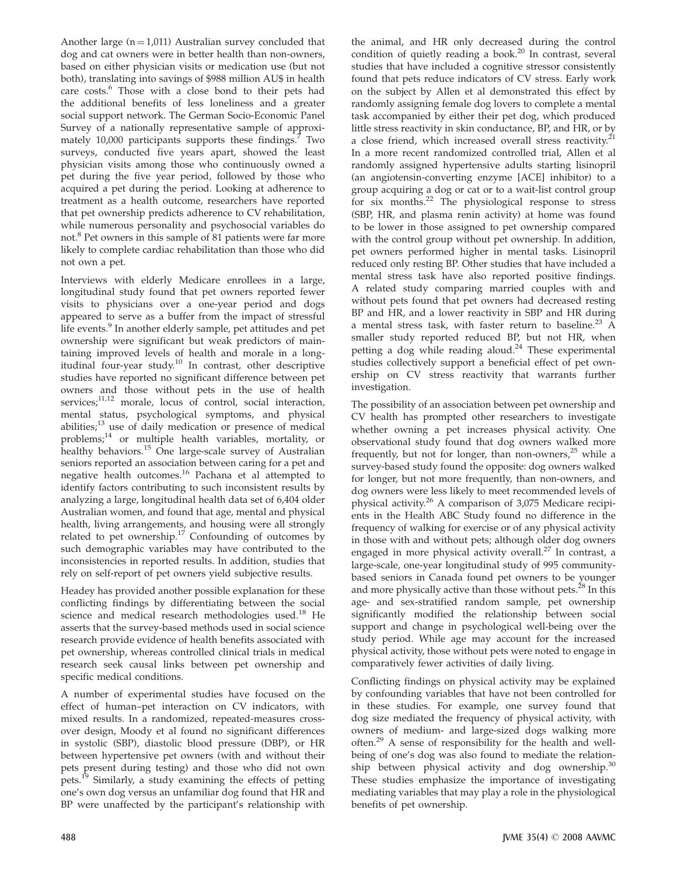Another large  $(n = 1,011)$  Australian survey concluded that dog and cat owners were in better health than non-owners, based on either physician visits or medication use (but not both), translating into savings of \$988 million AU\$ in health care costs.<sup>6</sup> Those with a close bond to their pets had the additional benefits of less loneliness and a greater social support network. The German Socio-Economic Panel Survey of a nationally representative sample of approximately 10,000 participants supports these findings.<sup>7</sup> Two surveys, conducted five years apart, showed the least physician visits among those who continuously owned a pet during the five year period, followed by those who acquired a pet during the period. Looking at adherence to treatment as a health outcome, researchers have reported that pet ownership predicts adherence to CV rehabilitation, while numerous personality and psychosocial variables do not.<sup>8</sup> Pet owners in this sample of 81 patients were far more likely to complete cardiac rehabilitation than those who did not own a pet.

Interviews with elderly Medicare enrollees in a large, longitudinal study found that pet owners reported fewer visits to physicians over a one-year period and dogs appeared to serve as a buffer from the impact of stressful life events.<sup>9</sup> In another elderly sample, pet attitudes and pet ownership were significant but weak predictors of maintaining improved levels of health and morale in a longitudinal four-year study.<sup>10</sup> In contrast, other descriptive studies have reported no significant difference between pet owners and those without pets in the use of health services;<sup>11,12</sup> morale, locus of control, social interaction, mental status, psychological symptoms, and physical  $\frac{13}{13}$  use of daily medication or presence of medical problems;<sup>14</sup> or multiple health variables, mortality, or healthy behaviors.<sup>15</sup> One large-scale survey of Australian seniors reported an association between caring for a pet and negative health outcomes.<sup>16</sup> Pachana et al attempted to identify factors contributing to such inconsistent results by analyzing a large, longitudinal health data set of 6,404 older Australian women, and found that age, mental and physical health, living arrangements, and housing were all strongly related to pet ownership.<sup>17</sup> Confounding of outcomes by such demographic variables may have contributed to the inconsistencies in reported results. In addition, studies that rely on self-report of pet owners yield subjective results.

Headey has provided another possible explanation for these conflicting findings by differentiating between the social science and medical research methodologies used.<sup>18</sup> He asserts that the survey-based methods used in social science research provide evidence of health benefits associated with pet ownership, whereas controlled clinical trials in medical research seek causal links between pet ownership and specific medical conditions.

A number of experimental studies have focused on the effect of human–pet interaction on CV indicators, with mixed results. In a randomized, repeated-measures crossover design, Moody et al found no significant differences in systolic (SBP), diastolic blood pressure (DBP), or HR between hypertensive pet owners (with and without their pets present during testing) and those who did not own pets.<sup>19</sup> Similarly, a study examining the effects of petting one's own dog versus an unfamiliar dog found that HR and BP were unaffected by the participant's relationship with

the animal, and HR only decreased during the control condition of quietly reading a book.<sup>20</sup> In contrast, several studies that have included a cognitive stressor consistently found that pets reduce indicators of CV stress. Early work on the subject by Allen et al demonstrated this effect by randomly assigning female dog lovers to complete a mental task accompanied by either their pet dog, which produced little stress reactivity in skin conductance, BP, and HR, or by a close friend, which increased overall stress reactivity.<sup>21</sup> In a more recent randomized controlled trial, Allen et al randomly assigned hypertensive adults starting lisinopril (an angiotensin-converting enzyme [ACE] inhibitor) to a group acquiring a dog or cat or to a wait-list control group for six months.<sup>22</sup> The physiological response to stress (SBP, HR, and plasma renin activity) at home was found to be lower in those assigned to pet ownership compared with the control group without pet ownership. In addition, pet owners performed higher in mental tasks. Lisinopril reduced only resting BP. Other studies that have included a mental stress task have also reported positive findings. A related study comparing married couples with and without pets found that pet owners had decreased resting BP and HR, and a lower reactivity in SBP and HR during a mental stress task, with faster return to baseline.<sup>23</sup> A smaller study reported reduced BP, but not HR, when petting a dog while reading aloud.<sup>24</sup> These experimental studies collectively support a beneficial effect of pet ownership on CV stress reactivity that warrants further investigation.

The possibility of an association between pet ownership and CV health has prompted other researchers to investigate whether owning a pet increases physical activity. One observational study found that dog owners walked more frequently, but not for longer, than non-owners, $25$  while a survey-based study found the opposite: dog owners walked for longer, but not more frequently, than non-owners, and dog owners were less likely to meet recommended levels of physical activity.26 A comparison of 3,075 Medicare recipients in the Health ABC Study found no difference in the frequency of walking for exercise or of any physical activity in those with and without pets; although older dog owners engaged in more physical activity overall.<sup>27</sup> In contrast, a large-scale, one-year longitudinal study of 995 communitybased seniors in Canada found pet owners to be younger and more physically active than those without pets.<sup>28</sup> In this age- and sex-stratified random sample, pet ownership significantly modified the relationship between social support and change in psychological well-being over the study period. While age may account for the increased physical activity, those without pets were noted to engage in comparatively fewer activities of daily living.

Conflicting findings on physical activity may be explained by confounding variables that have not been controlled for in these studies. For example, one survey found that dog size mediated the frequency of physical activity, with owners of medium- and large-sized dogs walking more often.<sup>29</sup> A sense of responsibility for the health and wellbeing of one's dog was also found to mediate the relationship between physical activity and dog ownership. $30$ These studies emphasize the importance of investigating mediating variables that may play a role in the physiological benefits of pet ownership.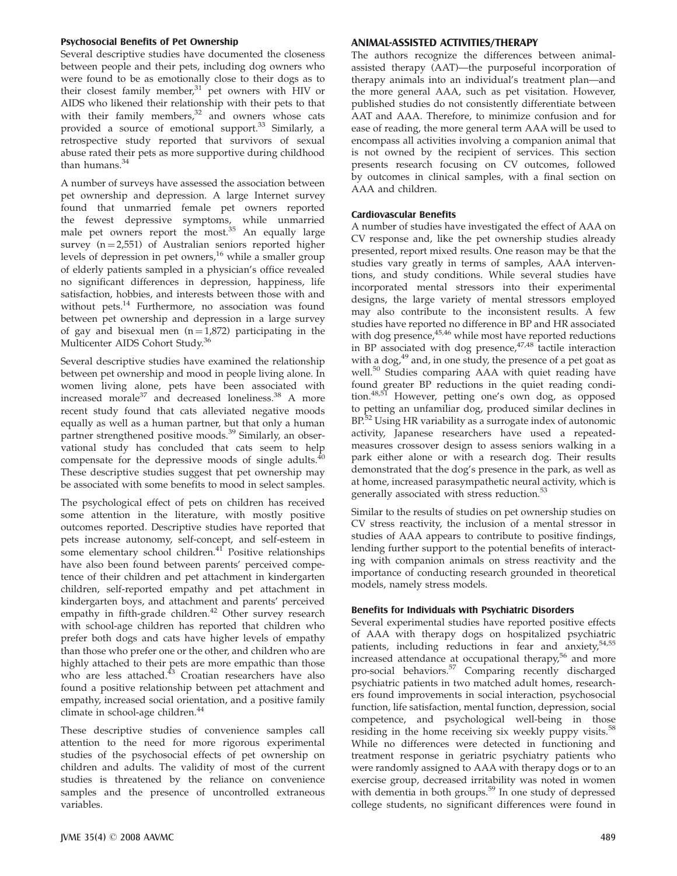#### Psychosocial Benefits of Pet Ownership

Several descriptive studies have documented the closeness between people and their pets, including dog owners who were found to be as emotionally close to their dogs as to their closest family member,<sup>31</sup> pet owners with HIV or AIDS who likened their relationship with their pets to that with their family members,<sup>32</sup> and owners whose cats provided a source of emotional support.<sup>33</sup> Similarly, a retrospective study reported that survivors of sexual abuse rated their pets as more supportive during childhood than humans.<sup>34</sup>

A number of surveys have assessed the association between pet ownership and depression. A large Internet survey found that unmarried female pet owners reported the fewest depressive symptoms, while unmarried male pet owners report the most. $35$  An equally large survey  $(n = 2,551)$  of Australian seniors reported higher levels of depression in pet owners,<sup>16</sup> while a smaller group of elderly patients sampled in a physician's office revealed no significant differences in depression, happiness, life satisfaction, hobbies, and interests between those with and without pets.<sup>14</sup> Furthermore, no association was found between pet ownership and depression in a large survey of gay and bisexual men  $(n = 1,872)$  participating in the Multicenter AIDS Cohort Study.<sup>36</sup>

Several descriptive studies have examined the relationship between pet ownership and mood in people living alone. In women living alone, pets have been associated with increased morale<sup>37</sup> and decreased loneliness.<sup>38</sup> A more recent study found that cats alleviated negative moods equally as well as a human partner, but that only a human partner strengthened positive moods.<sup>39</sup> Similarly, an observational study has concluded that cats seem to help compensate for the depressive moods of single adults.<sup>4</sup> These descriptive studies suggest that pet ownership may be associated with some benefits to mood in select samples.

The psychological effect of pets on children has received some attention in the literature, with mostly positive outcomes reported. Descriptive studies have reported that pets increase autonomy, self-concept, and self-esteem in some elementary school children.<sup>41</sup> Positive relationships have also been found between parents' perceived competence of their children and pet attachment in kindergarten children, self-reported empathy and pet attachment in kindergarten boys, and attachment and parents' perceived empathy in fifth-grade children.<sup>42</sup> Other survey research with school-age children has reported that children who prefer both dogs and cats have higher levels of empathy than those who prefer one or the other, and children who are highly attached to their pets are more empathic than those who are less attached.<sup>43</sup> Croatian researchers have also found a positive relationship between pet attachment and empathy, increased social orientation, and a positive family climate in school-age children.<sup>44</sup>

These descriptive studies of convenience samples call attention to the need for more rigorous experimental studies of the psychosocial effects of pet ownership on children and adults. The validity of most of the current studies is threatened by the reliance on convenience samples and the presence of uncontrolled extraneous variables.

## ANIMAL-ASSISTED ACTIVITIES/THERAPY

The authors recognize the differences between animalassisted therapy (AAT)—the purposeful incorporation of therapy animals into an individual's treatment plan—and the more general AAA, such as pet visitation. However, published studies do not consistently differentiate between AAT and AAA. Therefore, to minimize confusion and for ease of reading, the more general term AAA will be used to encompass all activities involving a companion animal that is not owned by the recipient of services. This section presents research focusing on CV outcomes, followed by outcomes in clinical samples, with a final section on AAA and children.

#### Cardiovascular Benefits

A number of studies have investigated the effect of AAA on CV response and, like the pet ownership studies already presented, report mixed results. One reason may be that the studies vary greatly in terms of samples, AAA interventions, and study conditions. While several studies have incorporated mental stressors into their experimental designs, the large variety of mental stressors employed may also contribute to the inconsistent results. A few studies have reported no difference in BP and HR associated with dog presence,<sup>45,46</sup> while most have reported reductions in BP associated with dog presence, $47,48$  tactile interaction with a dog,  $49^{\circ}$  and, in one study, the presence of a pet goat as well.<sup>50</sup> Studies comparing AAA with quiet reading have found greater BP reductions in the quiet reading condition.<sup>48,51</sup> However, petting one's own dog, as opposed to petting an unfamiliar dog, produced similar declines in BP.<sup>52</sup> Using HR variability as a surrogate index of autonomic activity, Japanese researchers have used a repeatedmeasures crossover design to assess seniors walking in a park either alone or with a research dog. Their results demonstrated that the dog's presence in the park, as well as at home, increased parasympathetic neural activity, which is generally associated with stress reduction.53

Similar to the results of studies on pet ownership studies on CV stress reactivity, the inclusion of a mental stressor in studies of AAA appears to contribute to positive findings, lending further support to the potential benefits of interacting with companion animals on stress reactivity and the importance of conducting research grounded in theoretical models, namely stress models.

## Benefits for Individuals with Psychiatric Disorders

Several experimental studies have reported positive effects of AAA with therapy dogs on hospitalized psychiatric patients, including reductions in fear and anxiety,<sup>54,55</sup> increased attendance at occupational therapy, $56$  and more pro-social behaviors.<sup>57</sup> Comparing recently discharged psychiatric patients in two matched adult homes, researchers found improvements in social interaction, psychosocial function, life satisfaction, mental function, depression, social competence, and psychological well-being in those residing in the home receiving six weekly puppy visits.<sup>58</sup> While no differences were detected in functioning and treatment response in geriatric psychiatry patients who were randomly assigned to AAA with therapy dogs or to an exercise group, decreased irritability was noted in women with dementia in both groups. $59$  In one study of depressed college students, no significant differences were found in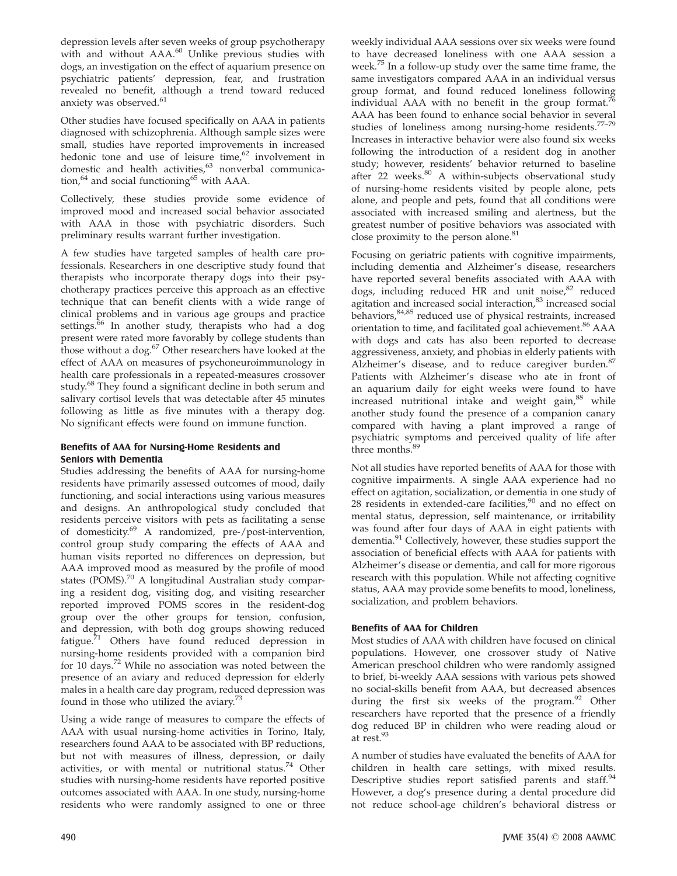depression levels after seven weeks of group psychotherapy with and without AAA.<sup>60</sup> Unlike previous studies with dogs, an investigation on the effect of aquarium presence on psychiatric patients' depression, fear, and frustration revealed no benefit, although a trend toward reduced anxiety was observed.<sup>61</sup>

Other studies have focused specifically on AAA in patients diagnosed with schizophrenia. Although sample sizes were small, studies have reported improvements in increased hedonic tone and use of leisure time, $62$  involvement in domestic and health activities,<sup>63</sup> nonverbal communication, $^{64}$  and social functioning $^{65}$  with AAA.

Collectively, these studies provide some evidence of improved mood and increased social behavior associated with AAA in those with psychiatric disorders. Such preliminary results warrant further investigation.

A few studies have targeted samples of health care professionals. Researchers in one descriptive study found that therapists who incorporate therapy dogs into their psychotherapy practices perceive this approach as an effective technique that can benefit clients with a wide range of clinical problems and in various age groups and practice settings.<sup>66</sup> In another study, therapists who had a dog present were rated more favorably by college students than those without a dog.<sup>67</sup> Other researchers have looked at the effect of AAA on measures of psychoneuroimmunology in health care professionals in a repeated-measures crossover study.<sup>68</sup> They found a significant decline in both serum and salivary cortisol levels that was detectable after 45 minutes following as little as five minutes with a therapy dog. No significant effects were found on immune function.

## Benefits of AAA for Nursing-Home Residents and Seniors with Dementia

Studies addressing the benefits of AAA for nursing-home residents have primarily assessed outcomes of mood, daily functioning, and social interactions using various measures and designs. An anthropological study concluded that residents perceive visitors with pets as facilitating a sense of domesticity.<sup>69</sup> A randomized, pre-/post-intervention, control group study comparing the effects of AAA and human visits reported no differences on depression, but AAA improved mood as measured by the profile of mood states (POMS).<sup>70</sup> A longitudinal Australian study comparing a resident dog, visiting dog, and visiting researcher reported improved POMS scores in the resident-dog group over the other groups for tension, confusion, and depression, with both dog groups showing reduced fatigue. $71$  Others have found reduced depression in nursing-home residents provided with a companion bird for 10 days.<sup>72</sup> While no association was noted between the presence of an aviary and reduced depression for elderly males in a health care day program, reduced depression was found in those who utilized the aviary. $73$ 

Using a wide range of measures to compare the effects of AAA with usual nursing-home activities in Torino, Italy, researchers found AAA to be associated with BP reductions, but not with measures of illness, depression, or daily activities, or with mental or nutritional status.<sup>74</sup> Other studies with nursing-home residents have reported positive outcomes associated with AAA. In one study, nursing-home residents who were randomly assigned to one or three weekly individual AAA sessions over six weeks were found to have decreased loneliness with one AAA session a week.<sup>75</sup> In a follow-up study over the same time frame, the same investigators compared AAA in an individual versus group format, and found reduced loneliness following individual AAA with no benefit in the group format.<sup>76</sup> AAA has been found to enhance social behavior in several studies of loneliness among nursing-home residents.<sup>77-79</sup> Increases in interactive behavior were also found six weeks following the introduction of a resident dog in another study; however, residents' behavior returned to baseline after 22 weeks.<sup>80</sup> A within-subjects observational study of nursing-home residents visited by people alone, pets alone, and people and pets, found that all conditions were associated with increased smiling and alertness, but the greatest number of positive behaviors was associated with close proximity to the person alone.<sup>81</sup>

Focusing on geriatric patients with cognitive impairments, including dementia and Alzheimer's disease, researchers have reported several benefits associated with AAA with dogs, including reduced HR and unit noise, $82$  reduced agitation and increased social interaction,<sup>83</sup> increased social behaviors, <sup>84,85</sup> reduced use of physical restraints, increased orientation to time, and facilitated goal achievement.<sup>86</sup> AAA with dogs and cats has also been reported to decrease aggressiveness, anxiety, and phobias in elderly patients with Alzheimer's disease, and to reduce caregiver burden.<sup>87</sup> Patients with Alzheimer's disease who ate in front of an aquarium daily for eight weeks were found to have increased nutritional intake and weight gain,<sup>88</sup> while another study found the presence of a companion canary compared with having a plant improved a range of psychiatric symptoms and perceived quality of life after three months.<sup>89</sup>

Not all studies have reported benefits of AAA for those with cognitive impairments. A single AAA experience had no effect on agitation, socialization, or dementia in one study of 28 residents in extended-care facilities, $90$  and no effect on mental status, depression, self maintenance, or irritability was found after four days of AAA in eight patients with dementia.<sup>91</sup> Collectively, however, these studies support the association of beneficial effects with AAA for patients with Alzheimer's disease or dementia, and call for more rigorous research with this population. While not affecting cognitive status, AAA may provide some benefits to mood, loneliness, socialization, and problem behaviors.

# Benefits of AAA for Children

Most studies of AAA with children have focused on clinical populations. However, one crossover study of Native American preschool children who were randomly assigned to brief, bi-weekly AAA sessions with various pets showed no social-skills benefit from AAA, but decreased absences during the first six weeks of the program.<sup>92</sup> Other researchers have reported that the presence of a friendly dog reduced BP in children who were reading aloud or at rest.<sup>93</sup>

A number of studies have evaluated the benefits of AAA for children in health care settings, with mixed results. Descriptive studies report satisfied parents and staff.<sup>94</sup> However, a dog's presence during a dental procedure did not reduce school-age children's behavioral distress or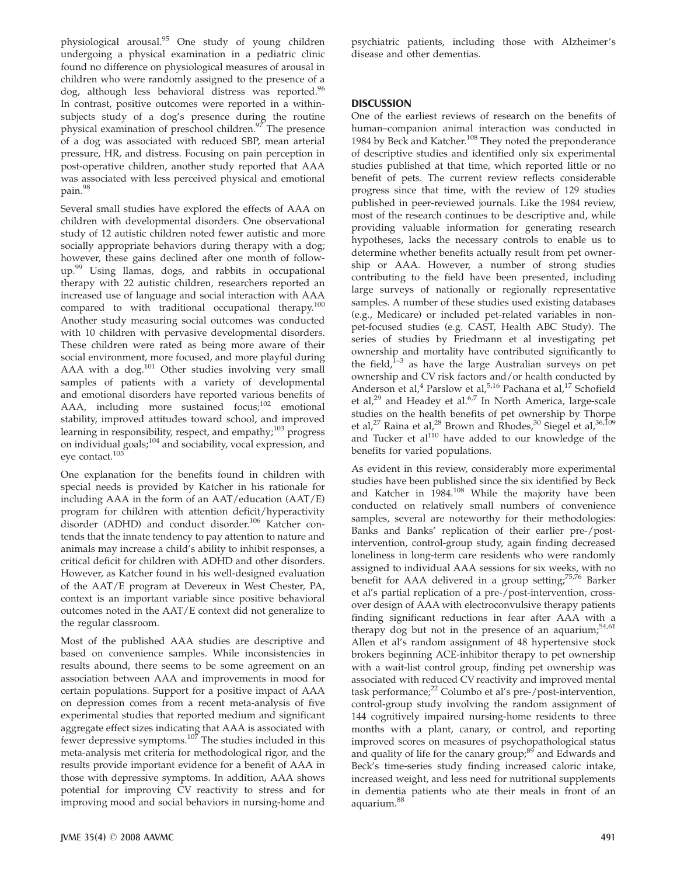physiological arousal.<sup>95</sup> One study of young children undergoing a physical examination in a pediatric clinic found no difference on physiological measures of arousal in children who were randomly assigned to the presence of a dog, although less behavioral distress was reported.<sup>96</sup> In contrast, positive outcomes were reported in a withinsubjects study of a dog's presence during the routine physical examination of preschool children.<sup>97</sup> The presence of a dog was associated with reduced SBP, mean arterial pressure, HR, and distress. Focusing on pain perception in post-operative children, another study reported that AAA was associated with less perceived physical and emotional pain.<sup>98</sup>

Several small studies have explored the effects of AAA on children with developmental disorders. One observational study of 12 autistic children noted fewer autistic and more socially appropriate behaviors during therapy with a dog; however, these gains declined after one month of followup.<sup>99</sup> Using llamas, dogs, and rabbits in occupational therapy with 22 autistic children, researchers reported an increased use of language and social interaction with AAA compared to with traditional occupational therapy.<sup>100</sup> Another study measuring social outcomes was conducted with 10 children with pervasive developmental disorders. These children were rated as being more aware of their social environment, more focused, and more playful during AAA with a dog. $101$  Other studies involving very small samples of patients with a variety of developmental and emotional disorders have reported various benefits of AAA, including more sustained focus;<sup>102</sup> emotional stability, improved attitudes toward school, and improved learning in responsibility, respect, and empathy;<sup>103</sup> progress on individual goals;<sup>104</sup> and sociability, vocal expression, and eye contact.<sup>105</sup>

One explanation for the benefits found in children with special needs is provided by Katcher in his rationale for including AAA in the form of an AAT/education (AAT/E) program for children with attention deficit/hyperactivity disorder (ADHD) and conduct disorder.106 Katcher contends that the innate tendency to pay attention to nature and animals may increase a child's ability to inhibit responses, a critical deficit for children with ADHD and other disorders. However, as Katcher found in his well-designed evaluation of the AAT/E program at Devereux in West Chester, PA, context is an important variable since positive behavioral outcomes noted in the AAT/E context did not generalize to the regular classroom.

Most of the published AAA studies are descriptive and based on convenience samples. While inconsistencies in results abound, there seems to be some agreement on an association between AAA and improvements in mood for certain populations. Support for a positive impact of AAA on depression comes from a recent meta-analysis of five experimental studies that reported medium and significant aggregate effect sizes indicating that AAA is associated with fewer depressive symptoms. $10\overline{7}$  The studies included in this meta-analysis met criteria for methodological rigor, and the results provide important evidence for a benefit of AAA in those with depressive symptoms. In addition, AAA shows potential for improving CV reactivity to stress and for improving mood and social behaviors in nursing-home and

psychiatric patients, including those with Alzheimer's disease and other dementias.

# **DISCUSSION**

One of the earliest reviews of research on the benefits of human–companion animal interaction was conducted in 1984 by Beck and Katcher.<sup>108</sup> They noted the preponderance of descriptive studies and identified only six experimental studies published at that time, which reported little or no benefit of pets. The current review reflects considerable progress since that time, with the review of 129 studies published in peer-reviewed journals. Like the 1984 review, most of the research continues to be descriptive and, while providing valuable information for generating research hypotheses, lacks the necessary controls to enable us to determine whether benefits actually result from pet ownership or AAA. However, a number of strong studies contributing to the field have been presented, including large surveys of nationally or regionally representative samples. A number of these studies used existing databases (e.g., Medicare) or included pet-related variables in nonpet-focused studies (e.g. CAST, Health ABC Study). The series of studies by Friedmann et al investigating pet ownership and mortality have contributed significantly to the field, $1-3$  as have the large Australian surveys on pet ownership and CV risk factors and/or health conducted by Anderson et al,<sup>4</sup> Parslow et al,<sup>5,16</sup> Pachana et al,<sup>17</sup> Schofield et al, $^{29}$  and Headey et al. $^{6,7}$  In North America, large-scale studies on the health benefits of pet ownership by Thorpe et al,<sup>27</sup> Raina et al,<sup>28</sup> Brown and Rhodes,<sup>30</sup> Siegel et al,<sup>36,109</sup> and Tucker et  $al<sup>110</sup>$  have added to our knowledge of the benefits for varied populations.

As evident in this review, considerably more experimental studies have been published since the six identified by Beck and Katcher in  $1984$ <sup>108</sup> While the majority have been conducted on relatively small numbers of convenience samples, several are noteworthy for their methodologies: Banks and Banks' replication of their earlier pre-/postintervention, control-group study, again finding decreased loneliness in long-term care residents who were randomly assigned to individual AAA sessions for six weeks, with no benefit for AAA delivered in a group setting;<sup>75,76</sup> Barker et al's partial replication of a pre-/post-intervention, crossover design of AAA with electroconvulsive therapy patients finding significant reductions in fear after AAA with a therapy dog but not in the presence of an aquarium; $54,61$ Allen et al's random assignment of 48 hypertensive stock brokers beginning ACE-inhibitor therapy to pet ownership with a wait-list control group, finding pet ownership was associated with reduced CV reactivity and improved mental task performance; $^{22}$  Columbo et al's pre-/post-intervention, control-group study involving the random assignment of 144 cognitively impaired nursing-home residents to three months with a plant, canary, or control, and reporting improved scores on measures of psychopathological status and quality of life for the canary group;<sup>89</sup> and Edwards and Beck's time-series study finding increased caloric intake, increased weight, and less need for nutritional supplements in dementia patients who ate their meals in front of an aquarium.<sup>88</sup>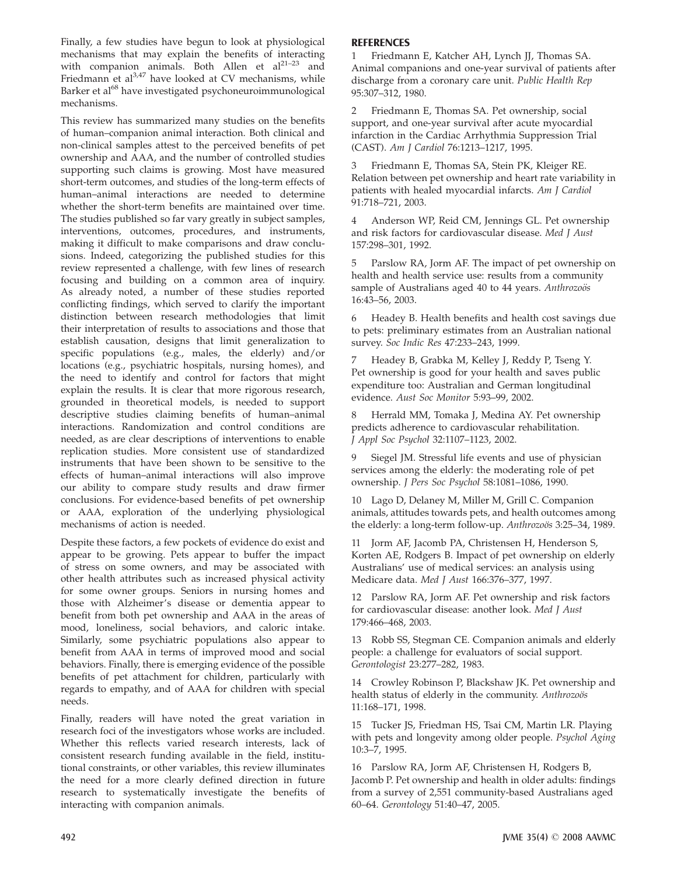Finally, a few studies have begun to look at physiological mechanisms that may explain the benefits of interacting with companion animals. Both Allen et  $al^{21-23}$  and Friedmann et  $al<sup>3,47</sup>$  have looked at CV mechanisms, while Barker et al<sup>68</sup> have investigated psychoneuroimmunological mechanisms.

This review has summarized many studies on the benefits of human–companion animal interaction. Both clinical and non-clinical samples attest to the perceived benefits of pet ownership and AAA, and the number of controlled studies supporting such claims is growing. Most have measured short-term outcomes, and studies of the long-term effects of human–animal interactions are needed to determine whether the short-term benefits are maintained over time. The studies published so far vary greatly in subject samples, interventions, outcomes, procedures, and instruments, making it difficult to make comparisons and draw conclusions. Indeed, categorizing the published studies for this review represented a challenge, with few lines of research focusing and building on a common area of inquiry. As already noted, a number of these studies reported conflicting findings, which served to clarify the important distinction between research methodologies that limit their interpretation of results to associations and those that establish causation, designs that limit generalization to specific populations (e.g., males, the elderly) and/or locations (e.g., psychiatric hospitals, nursing homes), and the need to identify and control for factors that might explain the results. It is clear that more rigorous research, grounded in theoretical models, is needed to support descriptive studies claiming benefits of human–animal interactions. Randomization and control conditions are needed, as are clear descriptions of interventions to enable replication studies. More consistent use of standardized instruments that have been shown to be sensitive to the effects of human–animal interactions will also improve our ability to compare study results and draw firmer conclusions. For evidence-based benefits of pet ownership or AAA, exploration of the underlying physiological mechanisms of action is needed.

Despite these factors, a few pockets of evidence do exist and appear to be growing. Pets appear to buffer the impact of stress on some owners, and may be associated with other health attributes such as increased physical activity for some owner groups. Seniors in nursing homes and those with Alzheimer's disease or dementia appear to benefit from both pet ownership and AAA in the areas of mood, loneliness, social behaviors, and caloric intake. Similarly, some psychiatric populations also appear to benefit from AAA in terms of improved mood and social behaviors. Finally, there is emerging evidence of the possible benefits of pet attachment for children, particularly with regards to empathy, and of AAA for children with special needs.

Finally, readers will have noted the great variation in research foci of the investigators whose works are included. Whether this reflects varied research interests, lack of consistent research funding available in the field, institutional constraints, or other variables, this review illuminates the need for a more clearly defined direction in future research to systematically investigate the benefits of interacting with companion animals.

# **REFERENCES**

1 Friedmann E, Katcher AH, Lynch JJ, Thomas SA. Animal companions and one-year survival of patients after discharge from a coronary care unit. Public Health Rep 95:307–312, 1980.

2 Friedmann E, Thomas SA. Pet ownership, social support, and one-year survival after acute myocardial infarction in the Cardiac Arrhythmia Suppression Trial (CAST). Am J Cardiol 76:1213–1217, 1995.

3 Friedmann E, Thomas SA, Stein PK, Kleiger RE. Relation between pet ownership and heart rate variability in patients with healed myocardial infarcts. Am J Cardiol 91:718–721, 2003.

4 Anderson WP, Reid CM, Jennings GL. Pet ownership and risk factors for cardiovascular disease. Med J Aust 157:298–301, 1992.

5 Parslow RA, Jorm AF. The impact of pet ownership on health and health service use: results from a community sample of Australians aged 40 to 44 years. Anthrozoös 16:43–56, 2003.

6 Headey B. Health benefits and health cost savings due to pets: preliminary estimates from an Australian national survey. Soc Indic Res 47:233–243, 1999.

7 Headey B, Grabka M, Kelley J, Reddy P, Tseng Y. Pet ownership is good for your health and saves public expenditure too: Australian and German longitudinal evidence. Aust Soc Monitor 5:93–99, 2002.

8 Herrald MM, Tomaka J, Medina AY. Pet ownership predicts adherence to cardiovascular rehabilitation. J Appl Soc Psychol 32:1107–1123, 2002.

Siegel JM. Stressful life events and use of physician services among the elderly: the moderating role of pet ownership. J Pers Soc Psychol 58:1081–1086, 1990.

10 Lago D, Delaney M, Miller M, Grill C. Companion animals, attitudes towards pets, and health outcomes among the elderly: a long-term follow-up. Anthrozoös 3:25–34, 1989.

11 Jorm AF, Jacomb PA, Christensen H, Henderson S, Korten AE, Rodgers B. Impact of pet ownership on elderly Australians' use of medical services: an analysis using Medicare data. Med J Aust 166:376–377, 1997.

12 Parslow RA, Jorm AF. Pet ownership and risk factors for cardiovascular disease: another look. Med J Aust 179:466–468, 2003.

13 Robb SS, Stegman CE. Companion animals and elderly people: a challenge for evaluators of social support. Gerontologist 23:277–282, 1983.

14 Crowley Robinson P, Blackshaw JK. Pet ownership and health status of elderly in the community. Anthrozoös 11:168–171, 1998.

15 Tucker JS, Friedman HS, Tsai CM, Martin LR. Playing with pets and longevity among older people. Psychol Aging 10:3–7, 1995.

16 Parslow RA, Jorm AF, Christensen H, Rodgers B, Jacomb P. Pet ownership and health in older adults: findings from a survey of 2,551 community-based Australians aged 60–64. Gerontology 51:40–47, 2005.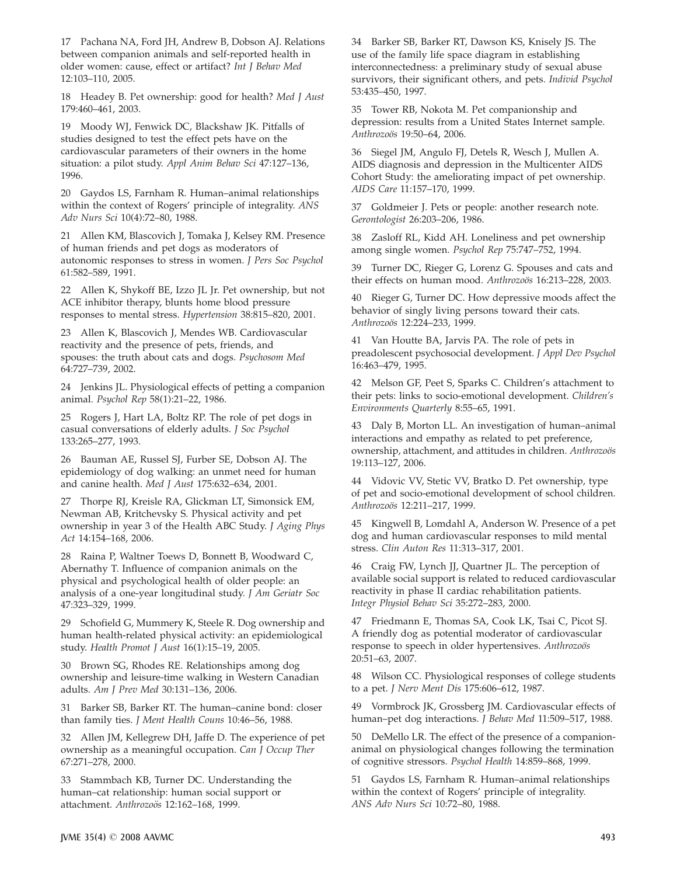17 Pachana NA, Ford JH, Andrew B, Dobson AJ. Relations between companion animals and self-reported health in older women: cause, effect or artifact? Int J Behav Med 12:103–110, 2005.

18 Headey B. Pet ownership: good for health? Med J Aust 179:460–461, 2003.

19 Moody WJ, Fenwick DC, Blackshaw JK. Pitfalls of studies designed to test the effect pets have on the cardiovascular parameters of their owners in the home situation: a pilot study. Appl Anim Behav Sci 47:127–136, 1996.

20 Gaydos LS, Farnham R. Human–animal relationships within the context of Rogers' principle of integrality. ANS Adv Nurs Sci 10(4):72–80, 1988.

21 Allen KM, Blascovich J, Tomaka J, Kelsey RM. Presence of human friends and pet dogs as moderators of autonomic responses to stress in women. J Pers Soc Psychol 61:582–589, 1991.

22 Allen K, Shykoff BE, Izzo JL Jr. Pet ownership, but not ACE inhibitor therapy, blunts home blood pressure responses to mental stress. Hypertension 38:815–820, 2001.

23 Allen K, Blascovich J, Mendes WB. Cardiovascular reactivity and the presence of pets, friends, and spouses: the truth about cats and dogs. Psychosom Med 64:727–739, 2002.

24 Jenkins JL. Physiological effects of petting a companion animal. Psychol Rep 58(1):21–22, 1986.

25 Rogers J, Hart LA, Boltz RP. The role of pet dogs in casual conversations of elderly adults. J Soc Psychol 133:265–277, 1993.

26 Bauman AE, Russel SJ, Furber SE, Dobson AJ. The epidemiology of dog walking: an unmet need for human and canine health. Med J Aust 175:632–634, 2001.

27 Thorpe RJ, Kreisle RA, Glickman LT, Simonsick EM, Newman AB, Kritchevsky S. Physical activity and pet ownership in year 3 of the Health ABC Study. J Aging Phys Act 14:154–168, 2006.

28 Raina P, Waltner Toews D, Bonnett B, Woodward C, Abernathy T. Influence of companion animals on the physical and psychological health of older people: an analysis of a one-year longitudinal study. J Am Geriatr Soc 47:323–329, 1999.

29 Schofield G, Mummery K, Steele R. Dog ownership and human health-related physical activity: an epidemiological study. Health Promot J Aust 16(1):15–19, 2005.

30 Brown SG, Rhodes RE. Relationships among dog ownership and leisure-time walking in Western Canadian adults. Am J Prev Med 30:131–136, 2006.

31 Barker SB, Barker RT. The human–canine bond: closer than family ties. J Ment Health Couns 10:46–56, 1988.

32 Allen JM, Kellegrew DH, Jaffe D. The experience of pet ownership as a meaningful occupation. Can J Occup Ther 67:271–278, 2000.

33 Stammbach KB, Turner DC. Understanding the human–cat relationship: human social support or attachment. Anthrozoös 12:162-168, 1999.

34 Barker SB, Barker RT, Dawson KS, Knisely JS. The use of the family life space diagram in establishing interconnectedness: a preliminary study of sexual abuse survivors, their significant others, and pets. Individ Psychol 53:435–450, 1997.

35 Tower RB, Nokota M. Pet companionship and depression: results from a United States Internet sample. Anthrozoös 19:50-64, 2006.

36 Siegel JM, Angulo FJ, Detels R, Wesch J, Mullen A. AIDS diagnosis and depression in the Multicenter AIDS Cohort Study: the ameliorating impact of pet ownership. AIDS Care 11:157–170, 1999.

37 Goldmeier J. Pets or people: another research note. Gerontologist 26:203–206, 1986.

38 Zasloff RL, Kidd AH. Loneliness and pet ownership among single women. Psychol Rep 75:747–752, 1994.

39 Turner DC, Rieger G, Lorenz G. Spouses and cats and their effects on human mood. Anthrozoös 16:213-228, 2003.

40 Rieger G, Turner DC. How depressive moods affect the behavior of singly living persons toward their cats. Anthrozoös 12:224-233, 1999.

41 Van Houtte BA, Jarvis PA. The role of pets in preadolescent psychosocial development. J Appl Dev Psychol 16:463–479, 1995.

42 Melson GF, Peet S, Sparks C. Children's attachment to their pets: links to socio-emotional development. Children's Environments Quarterly 8:55–65, 1991.

43 Daly B, Morton LL. An investigation of human–animal interactions and empathy as related to pet preference, ownership, attachment, and attitudes in children. Anthrozoös 19:113–127, 2006.

44 Vidovic VV, Stetic VV, Bratko D. Pet ownership, type of pet and socio-emotional development of school children. Anthrozoös 12:211-217, 1999.

45 Kingwell B, Lomdahl A, Anderson W. Presence of a pet dog and human cardiovascular responses to mild mental stress. Clin Auton Res 11:313–317, 2001.

46 Craig FW, Lynch JJ, Quartner JL. The perception of available social support is related to reduced cardiovascular reactivity in phase II cardiac rehabilitation patients. Integr Physiol Behav Sci 35:272–283, 2000.

47 Friedmann E, Thomas SA, Cook LK, Tsai C, Picot SJ. A friendly dog as potential moderator of cardiovascular response to speech in older hypertensives. Anthrozoös 20:51–63, 2007.

48 Wilson CC. Physiological responses of college students to a pet. J Nerv Ment Dis 175:606–612, 1987.

49 Vormbrock JK, Grossberg JM. Cardiovascular effects of human–pet dog interactions. J Behav Med 11:509–517, 1988.

50 DeMello LR. The effect of the presence of a companionanimal on physiological changes following the termination of cognitive stressors. Psychol Health 14:859–868, 1999.

51 Gaydos LS, Farnham R. Human–animal relationships within the context of Rogers' principle of integrality. ANS Adv Nurs Sci 10:72–80, 1988.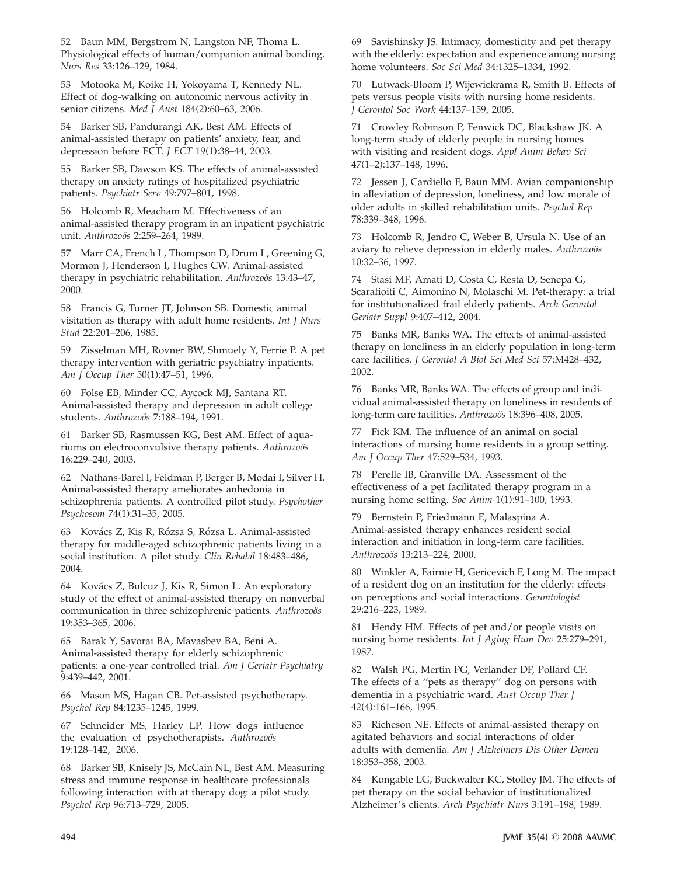52 Baun MM, Bergstrom N, Langston NF, Thoma L. Physiological effects of human/companion animal bonding. Nurs Res 33:126–129, 1984.

53 Motooka M, Koike H, Yokoyama T, Kennedy NL. Effect of dog-walking on autonomic nervous activity in senior citizens. Med J Aust 184(2):60-63, 2006.

54 Barker SB, Pandurangi AK, Best AM. Effects of animal-assisted therapy on patients' anxiety, fear, and depression before ECT. J ECT 19(1):38–44, 2003.

55 Barker SB, Dawson KS. The effects of animal-assisted therapy on anxiety ratings of hospitalized psychiatric patients. Psychiatr Serv 49:797–801, 1998.

56 Holcomb R, Meacham M. Effectiveness of an animal-assisted therapy program in an inpatient psychiatric unit. Anthrozoös 2:259-264, 1989.

57 Marr CA, French L, Thompson D, Drum L, Greening G, Mormon J, Henderson I, Hughes CW. Animal-assisted therapy in psychiatric rehabilitation. Anthrozoös 13:43-47, 2000.

58 Francis G, Turner JT, Johnson SB. Domestic animal visitation as therapy with adult home residents. Int J Nurs Stud 22:201–206, 1985.

59 Zisselman MH, Rovner BW, Shmuely Y, Ferrie P. A pet therapy intervention with geriatric psychiatry inpatients. Am J Occup Ther 50(1):47–51, 1996.

60 Folse EB, Minder CC, Aycock MJ, Santana RT. Animal-assisted therapy and depression in adult college students. Anthrozoös 7:188-194, 1991.

61 Barker SB, Rasmussen KG, Best AM. Effect of aquariums on electroconvulsive therapy patients. Anthrozoös 16:229–240, 2003.

62 Nathans-Barel I, Feldman P, Berger B, Modai I, Silver H. Animal-assisted therapy ameliorates anhedonia in schizophrenia patients. A controlled pilot study. Psychother Psychosom 74(1):31–35, 2005.

63 Kovács Z, Kis R, Rózsa S, Rózsa L. Animal-assisted therapy for middle-aged schizophrenic patients living in a social institution. A pilot study. Clin Rehabil 18:483–486, 2004.

64 Kovács Z, Bulcuz J, Kis R, Simon L. An exploratory study of the effect of animal-assisted therapy on nonverbal communication in three schizophrenic patients. Anthrozoös 19:353–365, 2006.

65 Barak Y, Savorai BA, Mavasbev BA, Beni A. Animal-assisted therapy for elderly schizophrenic patients: a one-year controlled trial. Am J Geriatr Psychiatry 9:439–442, 2001.

66 Mason MS, Hagan CB. Pet-assisted psychotherapy. Psychol Rep 84:1235–1245, 1999.

67 Schneider MS, Harley LP. How dogs influence the evaluation of psychotherapists. Anthrozoös 19:128–142, 2006.

68 Barker SB, Knisely JS, McCain NL, Best AM. Measuring stress and immune response in healthcare professionals following interaction with at therapy dog: a pilot study. Psychol Rep 96:713–729, 2005.

69 Savishinsky JS. Intimacy, domesticity and pet therapy with the elderly: expectation and experience among nursing home volunteers. Soc Sci Med 34:1325–1334, 1992.

70 Lutwack-Bloom P, Wijewickrama R, Smith B. Effects of pets versus people visits with nursing home residents. J Gerontol Soc Work 44:137–159, 2005.

71 Crowley Robinson P, Fenwick DC, Blackshaw JK. A long-term study of elderly people in nursing homes with visiting and resident dogs. Appl Anim Behav Sci 47(1–2):137–148, 1996.

72 Jessen J, Cardiello F, Baun MM. Avian companionship in alleviation of depression, loneliness, and low morale of older adults in skilled rehabilitation units. Psychol Rep 78:339–348, 1996.

73 Holcomb R, Jendro C, Weber B, Ursula N. Use of an aviary to relieve depression in elderly males. Anthrozoös 10:32–36, 1997.

74 Stasi MF, Amati D, Costa C, Resta D, Senepa G, Scarafioiti C, Aimonino N, Molaschi M. Pet-therapy: a trial for institutionalized frail elderly patients. Arch Gerontol Geriatr Suppl 9:407–412, 2004.

75 Banks MR, Banks WA. The effects of animal-assisted therapy on loneliness in an elderly population in long-term care facilities. J Gerontol A Biol Sci Med Sci 57:M428–432, 2002.

76 Banks MR, Banks WA. The effects of group and individual animal-assisted therapy on loneliness in residents of long-term care facilities. Anthrozoös 18:396-408, 2005.

77 Fick KM. The influence of an animal on social interactions of nursing home residents in a group setting. Am J Occup Ther 47:529–534, 1993.

78 Perelle IB, Granville DA. Assessment of the effectiveness of a pet facilitated therapy program in a nursing home setting. Soc Anim 1(1):91–100, 1993.

79 Bernstein P, Friedmann E, Malaspina A. Animal-assisted therapy enhances resident social interaction and initiation in long-term care facilities. Anthrozoös 13:213-224, 2000.

80 Winkler A, Fairnie H, Gericevich F, Long M. The impact of a resident dog on an institution for the elderly: effects on perceptions and social interactions. Gerontologist 29:216–223, 1989.

81 Hendy HM. Effects of pet and/or people visits on nursing home residents. Int J Aging Hum Dev 25:279–291, 1987.

82 Walsh PG, Mertin PG, Verlander DF, Pollard CF. The effects of a ''pets as therapy'' dog on persons with dementia in a psychiatric ward. Aust Occup Ther J 42(4):161–166, 1995.

83 Richeson NE. Effects of animal-assisted therapy on agitated behaviors and social interactions of older adults with dementia. Am J Alzheimers Dis Other Demen 18:353–358, 2003.

84 Kongable LG, Buckwalter KC, Stolley JM. The effects of pet therapy on the social behavior of institutionalized Alzheimer's clients. Arch Psychiatr Nurs 3:191–198, 1989.